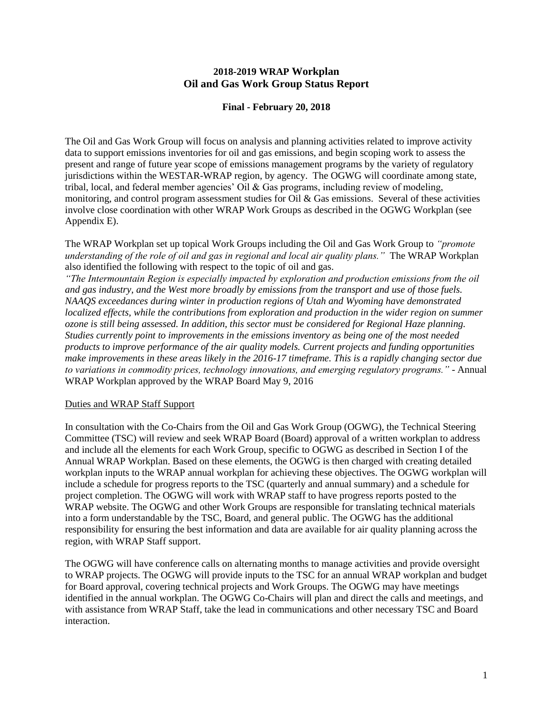# **2018-2019 WRAP Workplan Oil and Gas Work Group Status Report**

#### **Final - February 20, 2018**

The Oil and Gas Work Group will focus on analysis and planning activities related to improve activity data to support emissions inventories for oil and gas emissions, and begin scoping work to assess the present and range of future year scope of emissions management programs by the variety of regulatory jurisdictions within the WESTAR-WRAP region, by agency. The OGWG will coordinate among state, tribal, local, and federal member agencies' Oil  $\&$  Gas programs, including review of modeling, monitoring, and control program assessment studies for Oil  $\&$  Gas emissions. Several of these activities involve close coordination with other WRAP Work Groups as described in the OGWG Workplan (see Appendix E).

The WRAP Workplan set up topical Work Groups including the Oil and Gas Work Group to *"promote understanding of the role of oil and gas in regional and local air quality plans."* The WRAP Workplan also identified the following with respect to the topic of oil and gas.

*"The Intermountain Region is especially impacted by exploration and production emissions from the oil and gas industry, and the West more broadly by emissions from the transport and use of those fuels. NAAQS exceedances during winter in production regions of Utah and Wyoming have demonstrated localized effects, while the contributions from exploration and production in the wider region on summer ozone is still being assessed. In addition, this sector must be considered for Regional Haze planning. Studies currently point to improvements in the emissions inventory as being one of the most needed products to improve performance of the air quality models. Current projects and funding opportunities make improvements in these areas likely in the 2016-17 timeframe. This is a rapidly changing sector due to variations in commodity prices, technology innovations, and emerging regulatory programs."* - Annual WRAP Workplan approved by the WRAP Board May 9, 2016

#### Duties and WRAP Staff Support

In consultation with the Co-Chairs from the Oil and Gas Work Group (OGWG), the Technical Steering Committee (TSC) will review and seek WRAP Board (Board) approval of a written workplan to address and include all the elements for each Work Group, specific to OGWG as described in Section I of the Annual WRAP Workplan. Based on these elements, the OGWG is then charged with creating detailed workplan inputs to the WRAP annual workplan for achieving these objectives. The OGWG workplan will include a schedule for progress reports to the TSC (quarterly and annual summary) and a schedule for project completion. The OGWG will work with WRAP staff to have progress reports posted to the WRAP website. The OGWG and other Work Groups are responsible for translating technical materials into a form understandable by the TSC, Board, and general public. The OGWG has the additional responsibility for ensuring the best information and data are available for air quality planning across the region, with WRAP Staff support.

The OGWG will have conference calls on alternating months to manage activities and provide oversight to WRAP projects. The OGWG will provide inputs to the TSC for an annual WRAP workplan and budget for Board approval, covering technical projects and Work Groups. The OGWG may have meetings identified in the annual workplan. The OGWG Co-Chairs will plan and direct the calls and meetings, and with assistance from WRAP Staff, take the lead in communications and other necessary TSC and Board interaction.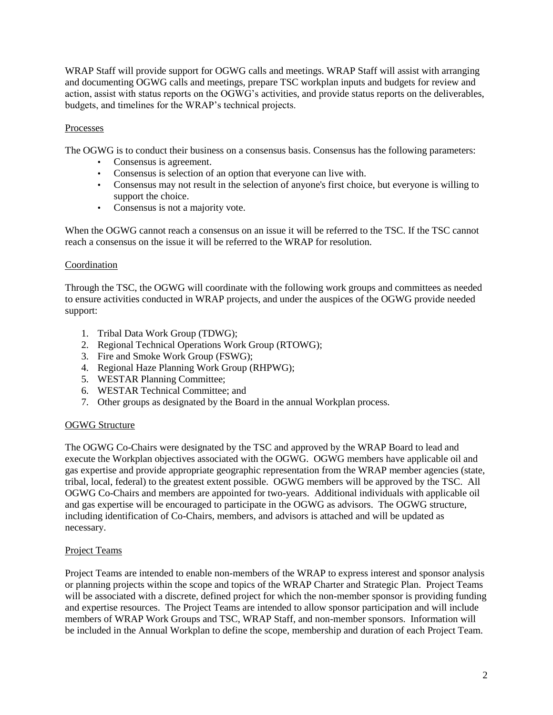WRAP Staff will provide support for OGWG calls and meetings. WRAP Staff will assist with arranging and documenting OGWG calls and meetings, prepare TSC workplan inputs and budgets for review and action, assist with status reports on the OGWG's activities, and provide status reports on the deliverables, budgets, and timelines for the WRAP's technical projects.

## Processes

The OGWG is to conduct their business on a consensus basis. Consensus has the following parameters:

- Consensus is agreement.
- Consensus is selection of an option that everyone can live with.
- Consensus may not result in the selection of anyone's first choice, but everyone is willing to support the choice.
- Consensus is not a majority vote.

When the OGWG cannot reach a consensus on an issue it will be referred to the TSC. If the TSC cannot reach a consensus on the issue it will be referred to the WRAP for resolution.

## Coordination

Through the TSC, the OGWG will coordinate with the following work groups and committees as needed to ensure activities conducted in WRAP projects, and under the auspices of the OGWG provide needed support:

- 1. Tribal Data Work Group (TDWG);
- 2. Regional Technical Operations Work Group (RTOWG);
- 3. Fire and Smoke Work Group (FSWG);
- 4. Regional Haze Planning Work Group (RHPWG);
- 5. WESTAR Planning Committee;
- 6. WESTAR Technical Committee; and
- 7. Other groups as designated by the Board in the annual Workplan process.

# OGWG Structure

The OGWG Co-Chairs were designated by the TSC and approved by the WRAP Board to lead and execute the Workplan objectives associated with the OGWG. OGWG members have applicable oil and gas expertise and provide appropriate geographic representation from the WRAP member agencies (state, tribal, local, federal) to the greatest extent possible. OGWG members will be approved by the TSC. All OGWG Co-Chairs and members are appointed for two-years. Additional individuals with applicable oil and gas expertise will be encouraged to participate in the OGWG as advisors. The OGWG structure, including identification of Co-Chairs, members, and advisors is attached and will be updated as necessary.

#### Project Teams

Project Teams are intended to enable non-members of the WRAP to express interest and sponsor analysis or planning projects within the scope and topics of the WRAP Charter and Strategic Plan. Project Teams will be associated with a discrete, defined project for which the non-member sponsor is providing funding and expertise resources. The Project Teams are intended to allow sponsor participation and will include members of WRAP Work Groups and TSC, WRAP Staff, and non-member sponsors. Information will be included in the Annual Workplan to define the scope, membership and duration of each Project Team.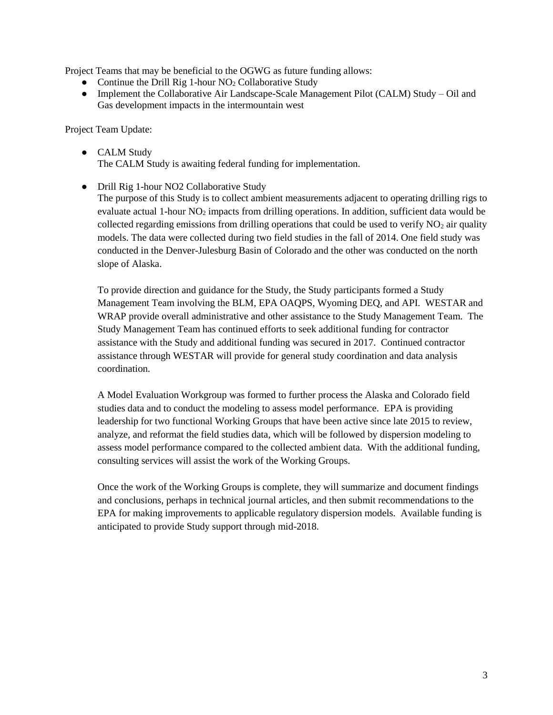Project Teams that may be beneficial to the OGWG as future funding allows:

- Continue the Drill Rig 1-hour  $NO<sub>2</sub>$  Collaborative Study
- Implement the Collaborative Air Landscape-Scale Management Pilot (CALM) Study Oil and Gas development impacts in the intermountain west

Project Team Update:

- CALM Study The CALM Study is awaiting federal funding for implementation.
- Drill Rig 1-hour NO2 Collaborative Study

The purpose of this Study is to collect ambient measurements adjacent to operating drilling rigs to evaluate actual 1-hour NO<sub>2</sub> impacts from drilling operations. In addition, sufficient data would be collected regarding emissions from drilling operations that could be used to verify  $NO<sub>2</sub>$  air quality models. The data were collected during two field studies in the fall of 2014. One field study was conducted in the Denver-Julesburg Basin of Colorado and the other was conducted on the north slope of Alaska.

To provide direction and guidance for the Study, the Study participants formed a Study Management Team involving the BLM, EPA OAQPS, Wyoming DEQ, and API. WESTAR and WRAP provide overall administrative and other assistance to the Study Management Team. The Study Management Team has continued efforts to seek additional funding for contractor assistance with the Study and additional funding was secured in 2017. Continued contractor assistance through WESTAR will provide for general study coordination and data analysis coordination.

A Model Evaluation Workgroup was formed to further process the Alaska and Colorado field studies data and to conduct the modeling to assess model performance. EPA is providing leadership for two functional Working Groups that have been active since late 2015 to review, analyze, and reformat the field studies data, which will be followed by dispersion modeling to assess model performance compared to the collected ambient data. With the additional funding, consulting services will assist the work of the Working Groups.

Once the work of the Working Groups is complete, they will summarize and document findings and conclusions, perhaps in technical journal articles, and then submit recommendations to the EPA for making improvements to applicable regulatory dispersion models. Available funding is anticipated to provide Study support through mid-2018.